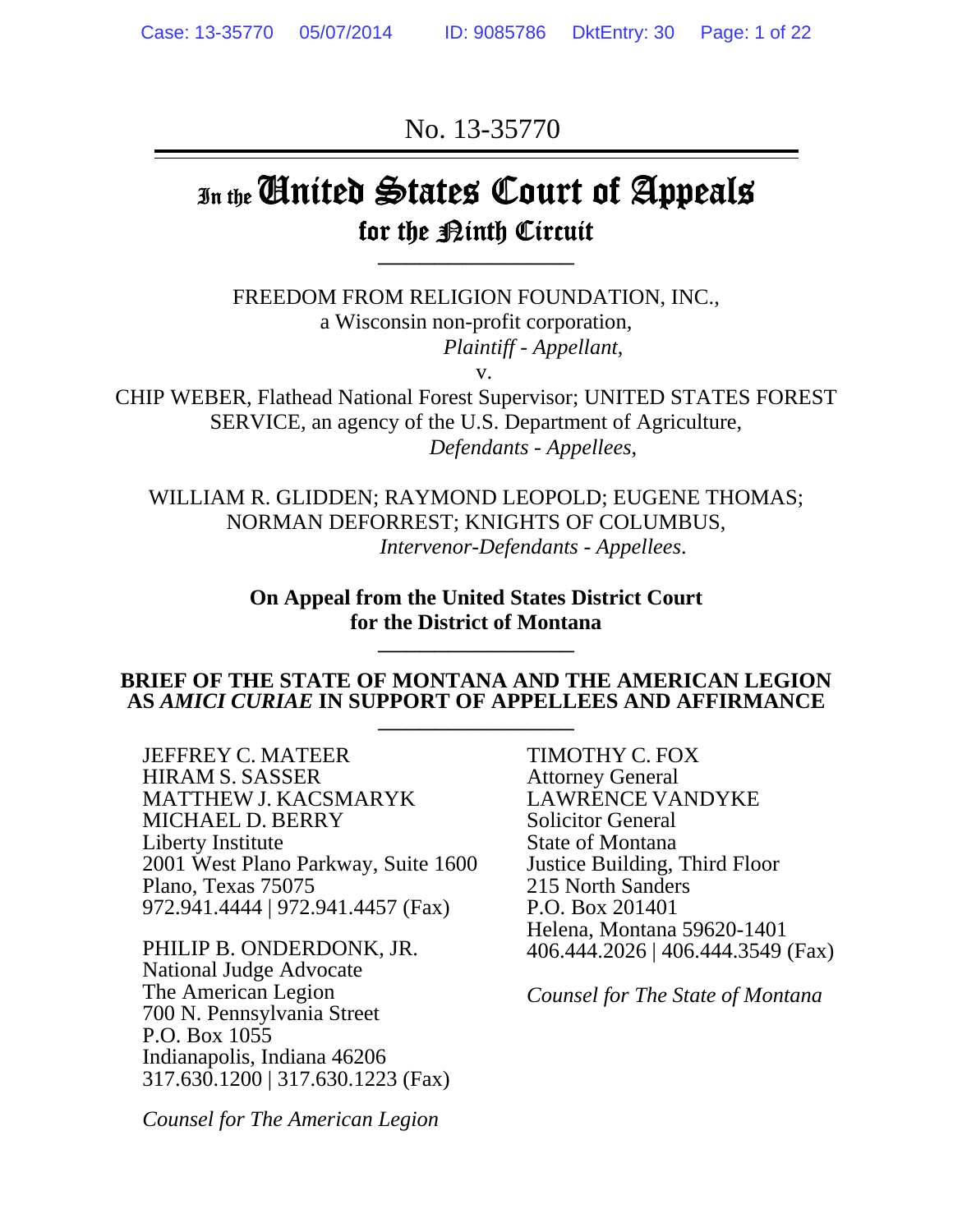No. 13-35770

# In the **Cinited States Court of Appeals** for the Binth Circuit  $\frac{1}{2}$

FREEDOM FROM RELIGION FOUNDATION, INC., a Wisconsin non-profit corporation, *Plaintiff - Appellant*,

v.

CHIP WEBER, Flathead National Forest Supervisor; UNITED STATES FOREST SERVICE, an agency of the U.S. Department of Agriculture, *Defendants - Appellees*,

WILLIAM R. GLIDDEN; RAYMOND LEOPOLD; EUGENE THOMAS; NORMAN DEFORREST; KNIGHTS OF COLUMBUS, *Intervenor-Defendants - Appellees*.

> **On Appeal from the United States District Court**  for the District of Montana

#### **BRIEF OF THE STATE OF MONTANA AND THE AMERICAN LEGION AS** *AMICI CURIAE* **IN SUPPORT OF APPELLEES AND AFFIRMANCE** \_\_\_\_\_\_\_\_\_\_\_\_\_\_

JEFFREY C. MATEER HIRAM S. SASSER MATTHEW J. KACSMARYK MICHAEL D. BERRY Liberty Institute 2001 West Plano Parkway, Suite 1600 Plano, Texas 75075 972.941.4444 | 972.941.4457 (Fax)

PHILIP B. ONDERDONK, JR. National Judge Advocate The American Legion 700 N. Pennsylvania Street P.O. Box 1055 Indianapolis, Indiana 46206 317.630.1200 | 317.630.1223 (Fax)

*Counsel for The American Legion* 

TIMOTHY C. FOX Attorney General LAWRENCE VANDYKE Solicitor General State of Montana Justice Building, Third Floor 215 North Sanders P.O. Box 201401 Helena, Montana 59620-1401 406.444.2026 | 406.444.3549 (Fax)

*Counsel for The State of Montana*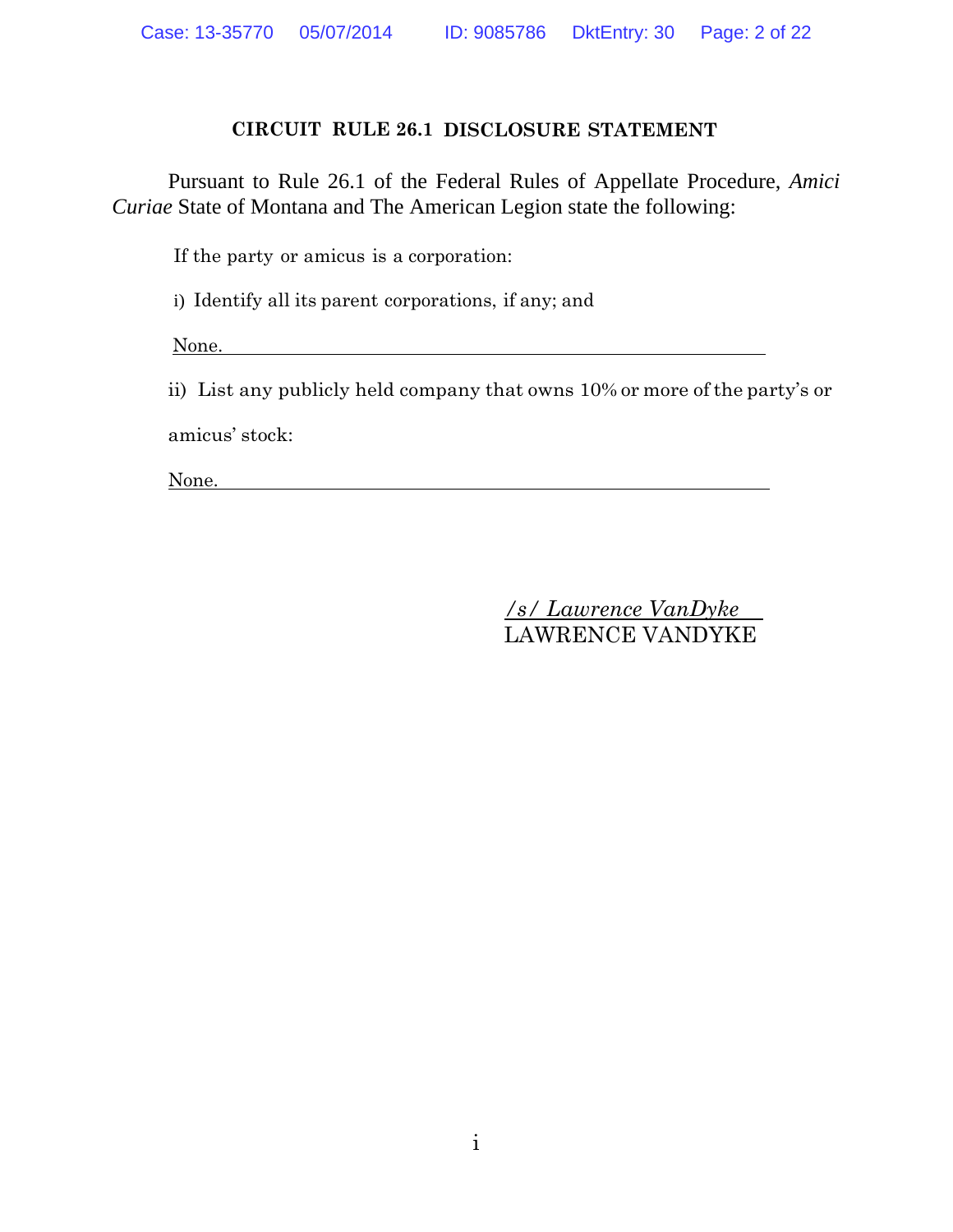#### **CIRCUIT RULE 26.1 DISCLOSURE STATEMENT**

 Pursuant to Rule 26.1 of the Federal Rules of Appellate Procedure, *Amici Curiae* State of Montana and The American Legion state the following:

If the party or amicus is a corporation:

i) Identify all its parent corporations, if any; and

None.

ii) List any publicly held company that owns 10% or more of the party's or amicus' stock:

None.

*/s/ Lawrence VanDyke*  LAWRENCE VANDYKE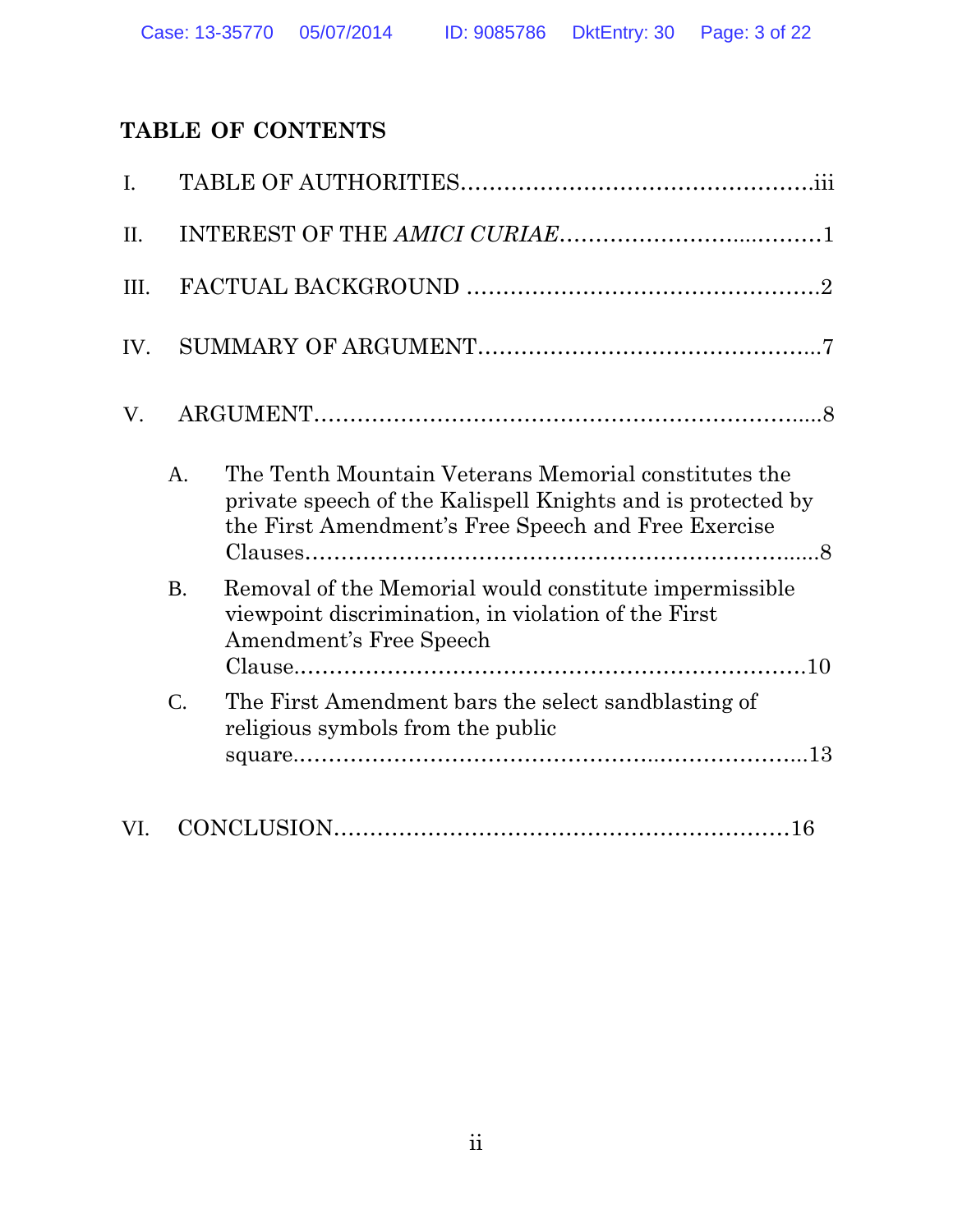## **TABLE OF CONTENTS**

| $\mathbf{I}$ . |                 |                                                                                                                                                                            |  |
|----------------|-----------------|----------------------------------------------------------------------------------------------------------------------------------------------------------------------------|--|
| $\Pi$ .        |                 |                                                                                                                                                                            |  |
| III.           |                 |                                                                                                                                                                            |  |
| IV.            |                 |                                                                                                                                                                            |  |
| V.             |                 |                                                                                                                                                                            |  |
|                | A.              | The Tenth Mountain Veterans Memorial constitutes the<br>private speech of the Kalispell Knights and is protected by<br>the First Amendment's Free Speech and Free Exercise |  |
|                | <b>B.</b>       | Removal of the Memorial would constitute impermissible<br>viewpoint discrimination, in violation of the First<br>Amendment's Free Speech                                   |  |
|                | $\mathcal{C}$ . | The First Amendment bars the select sandblasting of<br>religious symbols from the public                                                                                   |  |
| VI.            |                 |                                                                                                                                                                            |  |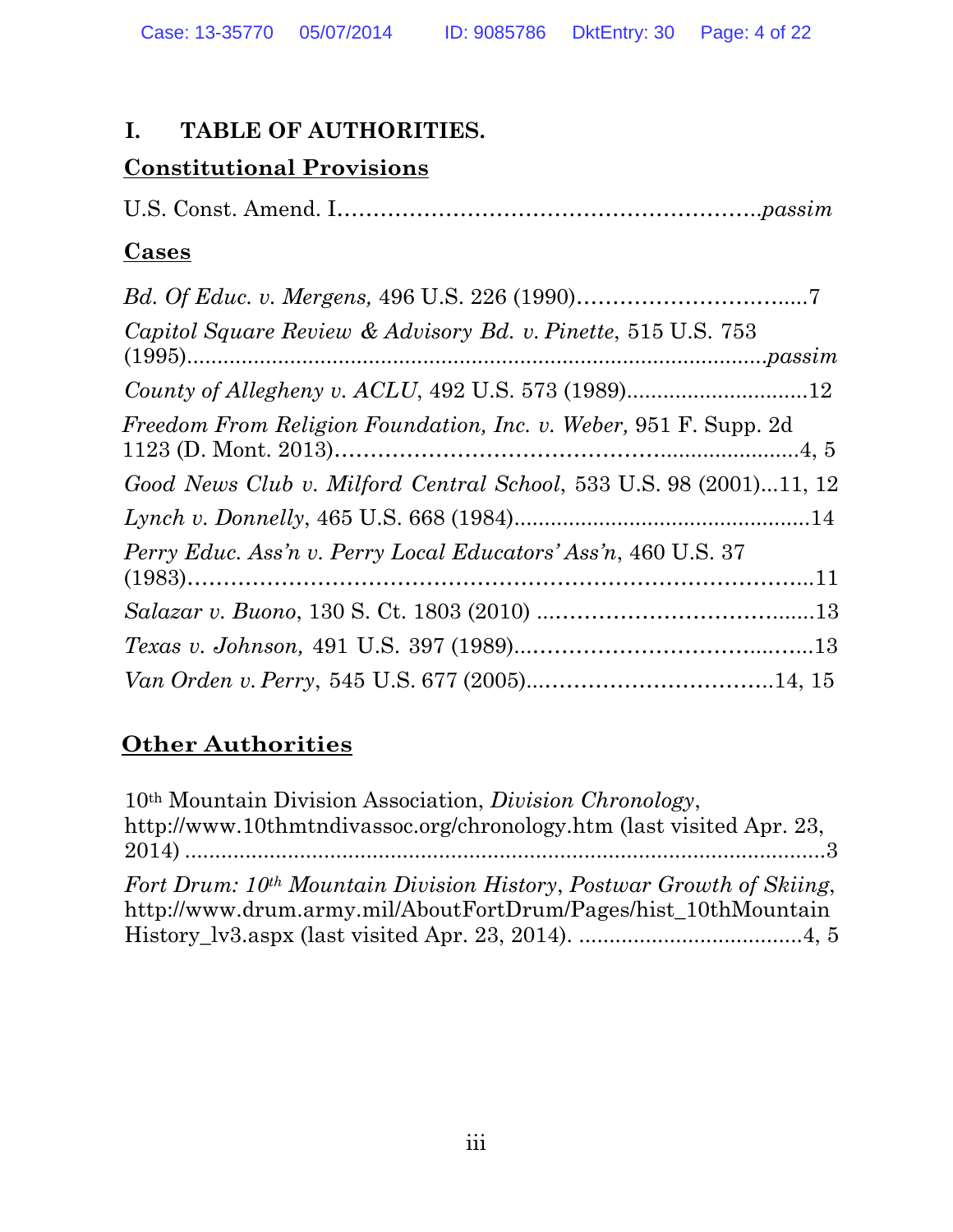## **I. TABLE OF AUTHORITIES.**

## **Constitutional Provisions**

U.S. Const. Amend. I…………………………………………………..*passim*

## **Cases**

| Capitol Square Review & Advisory Bd. v. Pinette, 515 U.S. 753         |  |
|-----------------------------------------------------------------------|--|
|                                                                       |  |
|                                                                       |  |
| Freedom From Religion Foundation, Inc. v. Weber, 951 F. Supp. 2d      |  |
| Good News Club v. Milford Central School, 533 U.S. 98 (2001)11, 12    |  |
|                                                                       |  |
| <i>Perry Educ. Ass'n v. Perry Local Educators' Ass'n, 460 U.S. 37</i> |  |
|                                                                       |  |
|                                                                       |  |
|                                                                       |  |
|                                                                       |  |

## **Other Authorities**

| 10 <sup>th</sup> Mountain Division Association, <i>Division Chronology</i> ,     |
|----------------------------------------------------------------------------------|
| http://www.10thmtndivassoc.org/chronology.htm (last visited Apr. 23,             |
|                                                                                  |
| Fort Drum: 10 <sup>th</sup> Mountain Division History, Postwar Growth of Skiing, |
| http://www.drum.army.mil/AboutFortDrum/Pages/hist_10thMountain                   |
|                                                                                  |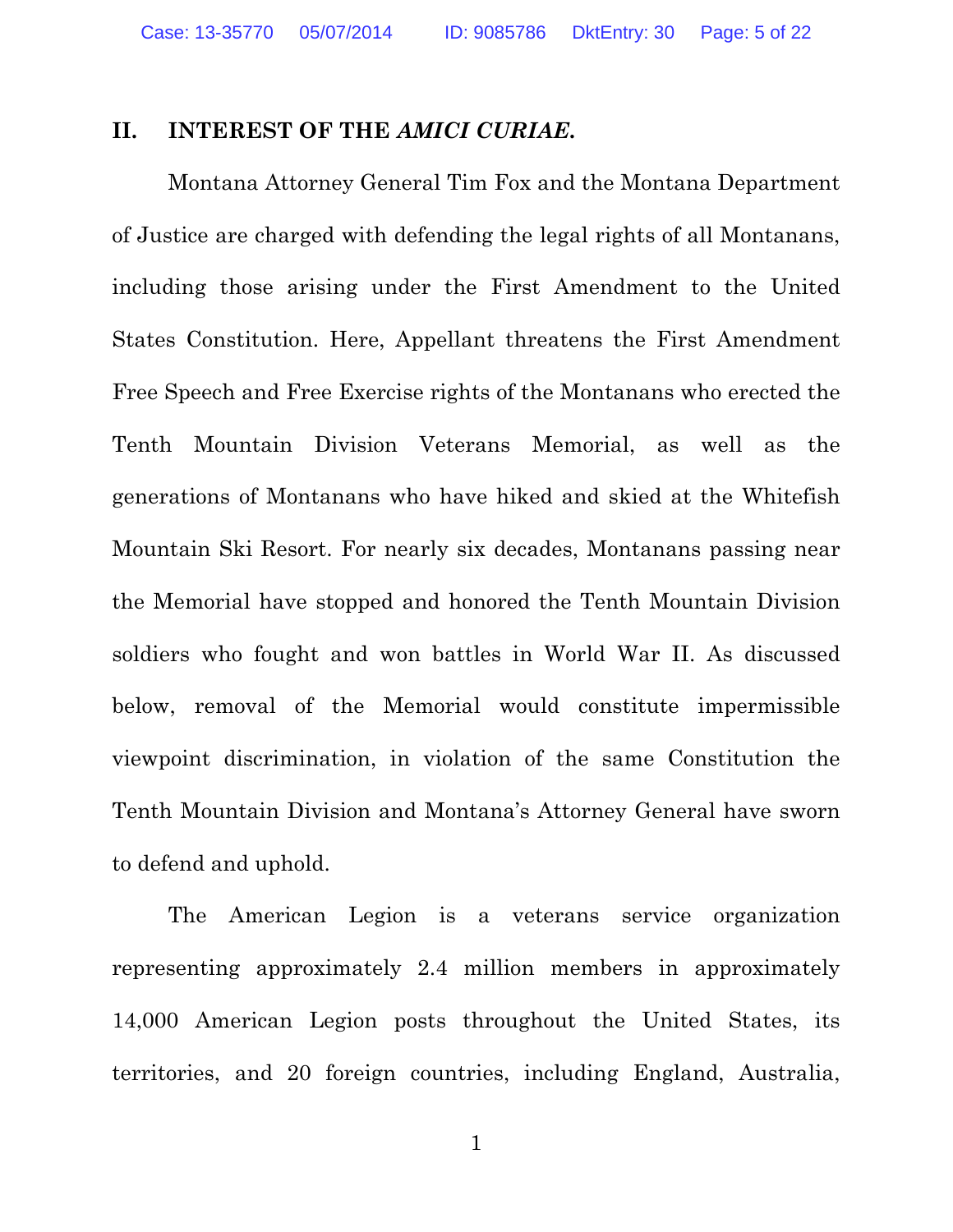### **II. INTEREST OF THE** *AMICI CURIAE***.**

Montana Attorney General Tim Fox and the Montana Department of Justice are charged with defending the legal rights of all Montanans, including those arising under the First Amendment to the United States Constitution. Here, Appellant threatens the First Amendment Free Speech and Free Exercise rights of the Montanans who erected the Tenth Mountain Division Veterans Memorial, as well as the generations of Montanans who have hiked and skied at the Whitefish Mountain Ski Resort. For nearly six decades, Montanans passing near the Memorial have stopped and honored the Tenth Mountain Division soldiers who fought and won battles in World War II. As discussed below, removal of the Memorial would constitute impermissible viewpoint discrimination, in violation of the same Constitution the Tenth Mountain Division and Montana's Attorney General have sworn to defend and uphold.

The American Legion is a veterans service organization representing approximately 2.4 million members in approximately 14,000 American Legion posts throughout the United States, its territories, and 20 foreign countries, including England, Australia,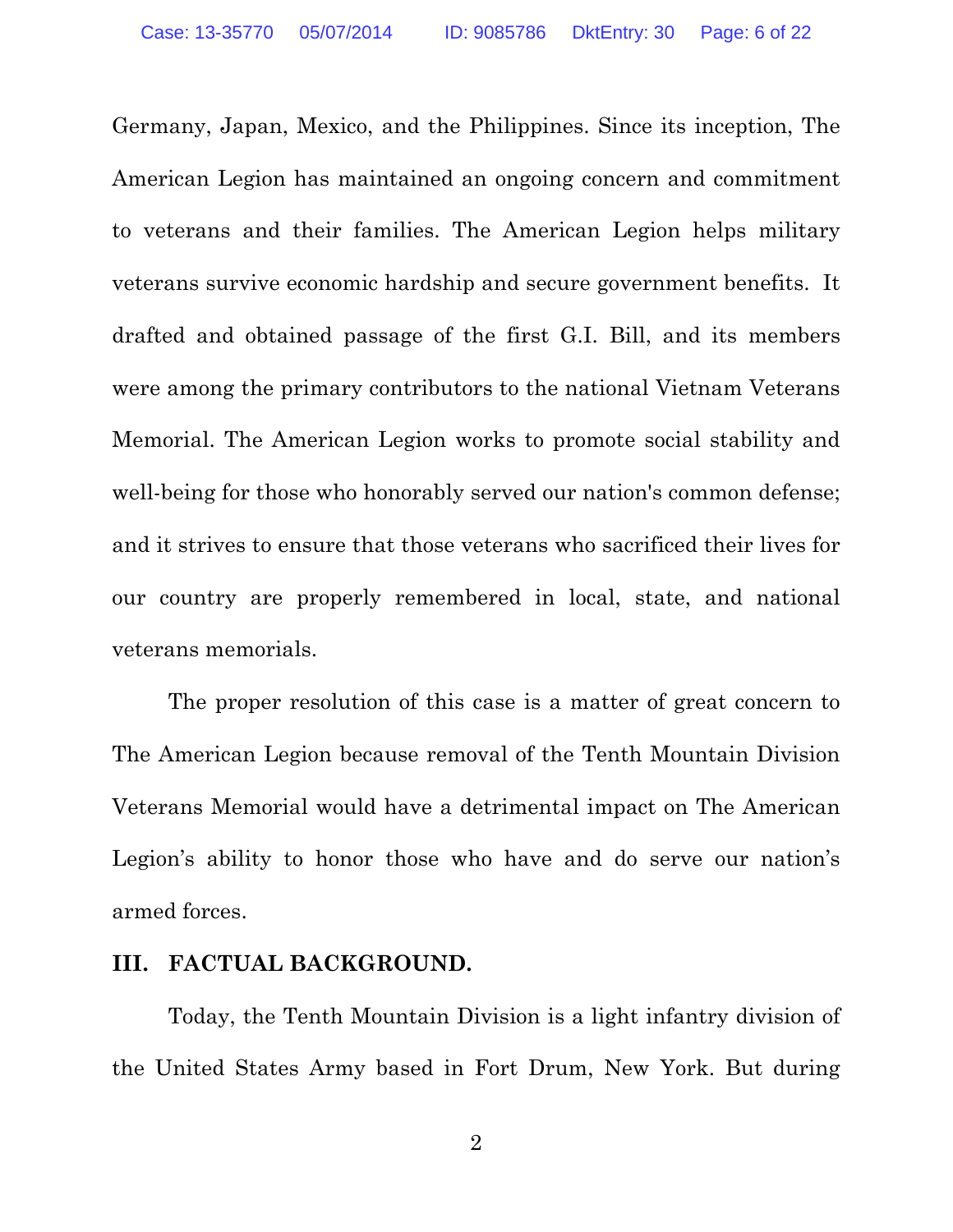Germany, Japan, Mexico, and the Philippines. Since its inception, The American Legion has maintained an ongoing concern and commitment to veterans and their families. The American Legion helps military veterans survive economic hardship and secure government benefits. It drafted and obtained passage of the first G.I. Bill, and its members were among the primary contributors to the national Vietnam Veterans Memorial. The American Legion works to promote social stability and well-being for those who honorably served our nation's common defense; and it strives to ensure that those veterans who sacrificed their lives for our country are properly remembered in local, state, and national veterans memorials.

The proper resolution of this case is a matter of great concern to The American Legion because removal of the Tenth Mountain Division Veterans Memorial would have a detrimental impact on The American Legion's ability to honor those who have and do serve our nation's armed forces.

#### **III. FACTUAL BACKGROUND.**

Today, the Tenth Mountain Division is a light infantry division of the United States Army based in Fort Drum, New York. But during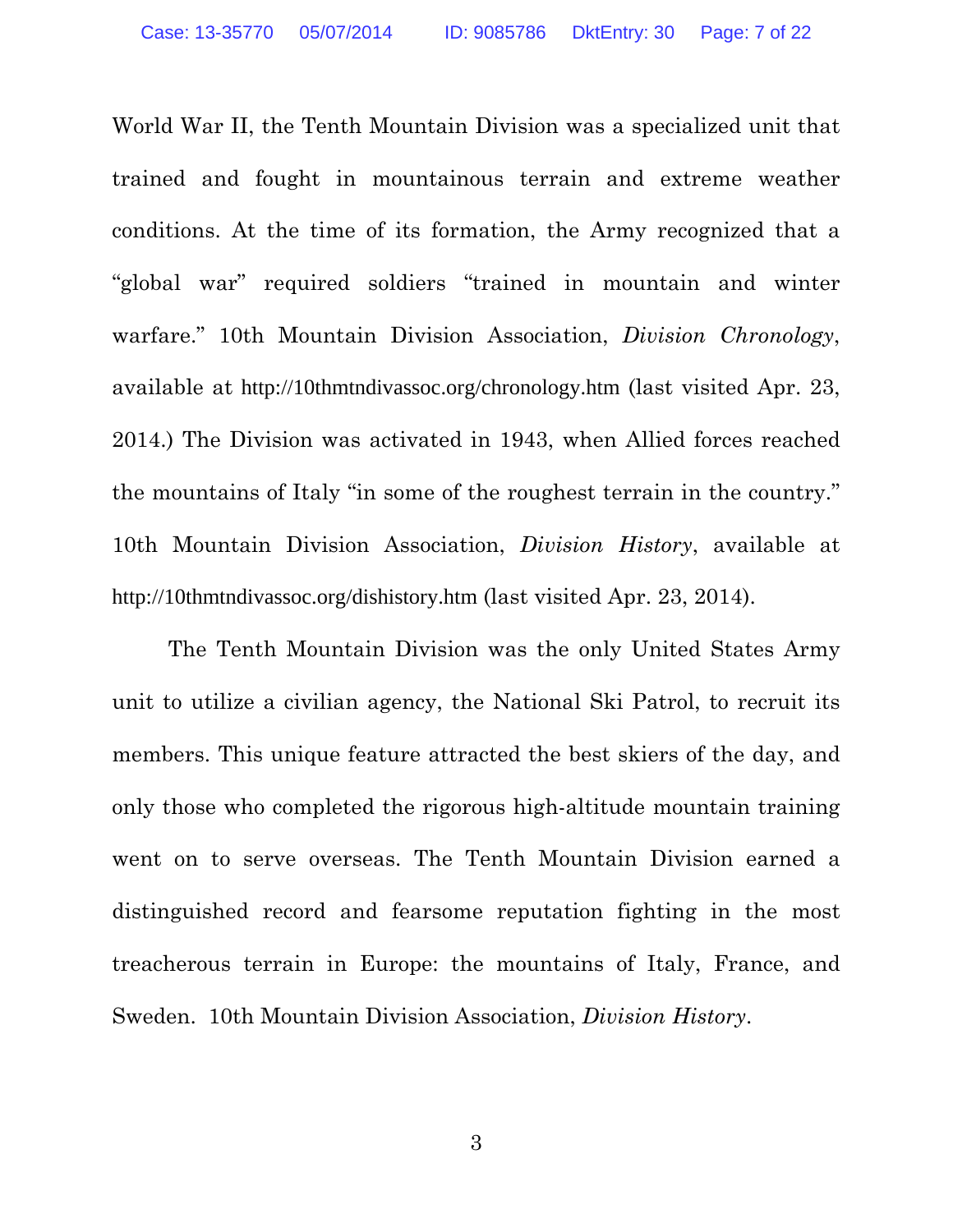World War II, the Tenth Mountain Division was a specialized unit that trained and fought in mountainous terrain and extreme weather conditions. At the time of its formation, the Army recognized that a "global war" required soldiers "trained in mountain and winter warfare." 10th Mountain Division Association, *Division Chronology*, available at http://10thmtndivassoc.org/chronology.htm (last visited Apr. 23, 2014.) The Division was activated in 1943, when Allied forces reached the mountains of Italy "in some of the roughest terrain in the country." 10th Mountain Division Association, *Division History*, available at http://10thmtndivassoc.org/dishistory.htm (last visited Apr. 23, 2014).

The Tenth Mountain Division was the only United States Army unit to utilize a civilian agency, the National Ski Patrol, to recruit its members. This unique feature attracted the best skiers of the day, and only those who completed the rigorous high-altitude mountain training went on to serve overseas. The Tenth Mountain Division earned a distinguished record and fearsome reputation fighting in the most treacherous terrain in Europe: the mountains of Italy, France, and Sweden. 10th Mountain Division Association, *Division History*.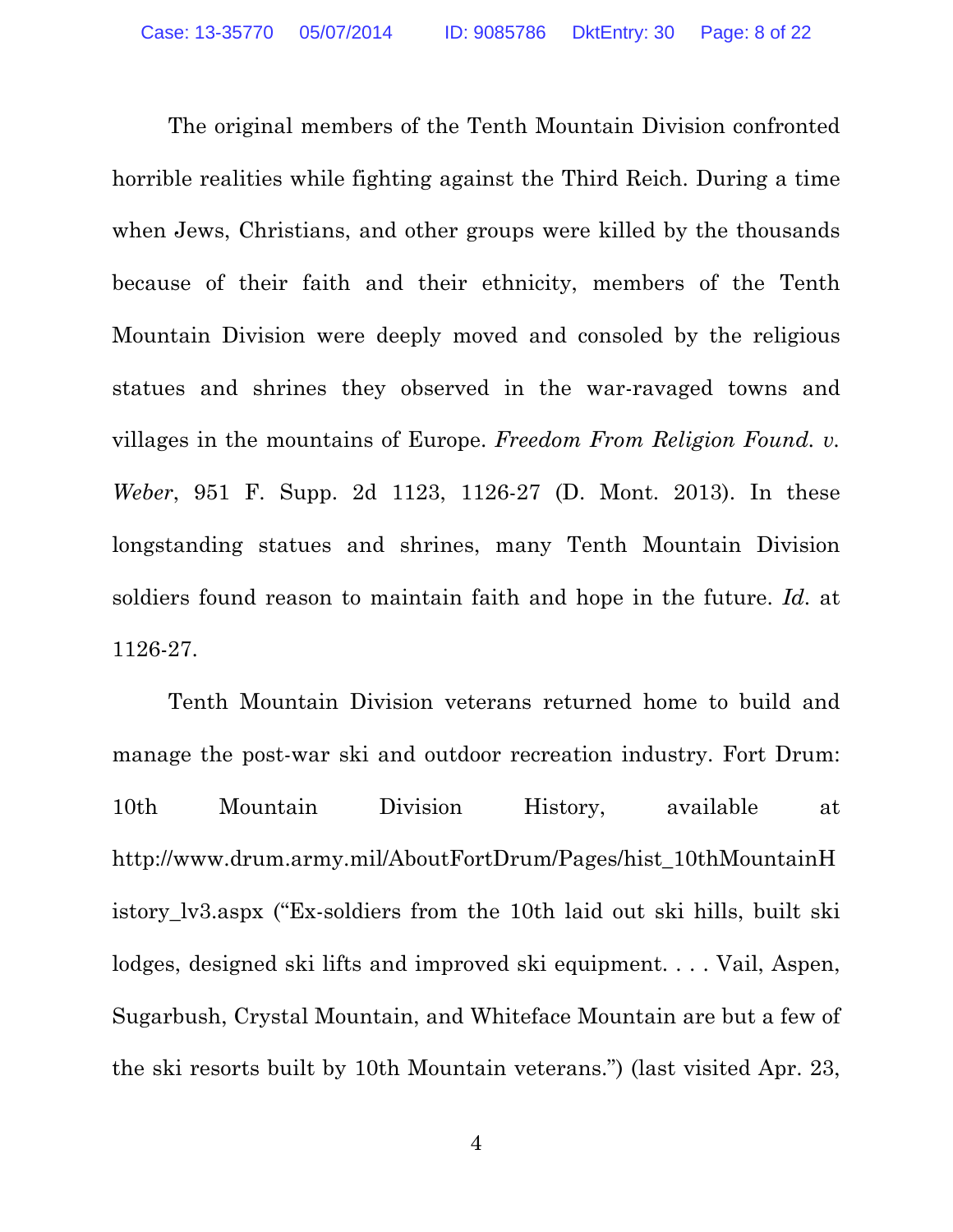The original members of the Tenth Mountain Division confronted horrible realities while fighting against the Third Reich. During a time when Jews, Christians, and other groups were killed by the thousands because of their faith and their ethnicity, members of the Tenth Mountain Division were deeply moved and consoled by the religious statues and shrines they observed in the war-ravaged towns and villages in the mountains of Europe. *Freedom From Religion Found. v. Weber*, 951 F. Supp. 2d 1123, 1126-27 (D. Mont. 2013). In these longstanding statues and shrines, many Tenth Mountain Division soldiers found reason to maintain faith and hope in the future. *Id*. at 1126-27.

Tenth Mountain Division veterans returned home to build and manage the post-war ski and outdoor recreation industry. Fort Drum: 10th Mountain Division History, available at http://www.drum.army.mil/AboutFortDrum/Pages/hist\_10thMountainH istory\_lv3.aspx ("Ex-soldiers from the 10th laid out ski hills, built ski lodges, designed ski lifts and improved ski equipment. . . . Vail, Aspen, Sugarbush, Crystal Mountain, and Whiteface Mountain are but a few of the ski resorts built by 10th Mountain veterans.") (last visited Apr. 23,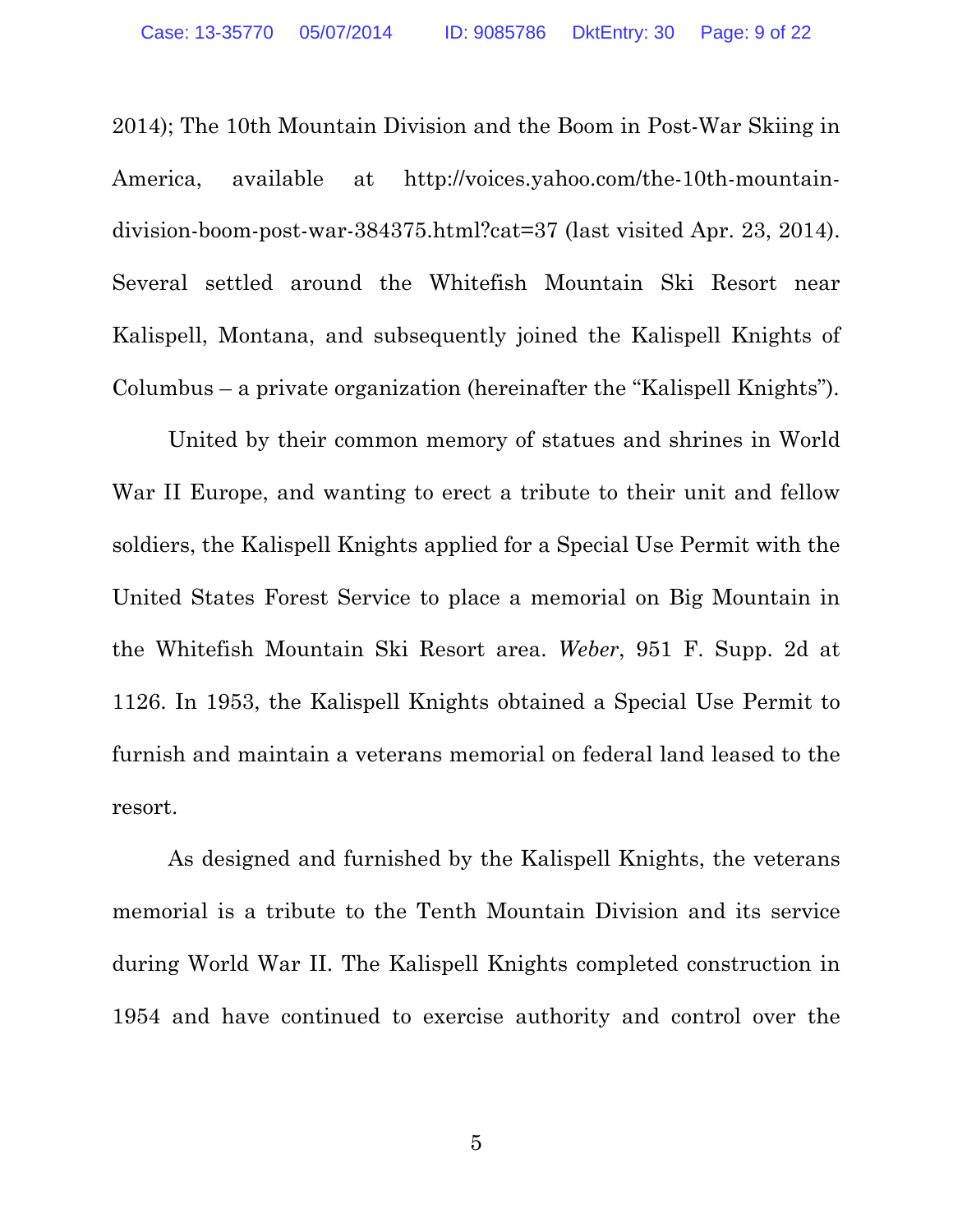2014); The 10th Mountain Division and the Boom in Post-War Skiing in America, available at http://voices.yahoo.com/the-10th-mountaindivision-boom-post-war-384375.html?cat=37 (last visited Apr. 23, 2014). Several settled around the Whitefish Mountain Ski Resort near Kalispell, Montana, and subsequently joined the Kalispell Knights of Columbus – a private organization (hereinafter the "Kalispell Knights").

United by their common memory of statues and shrines in World War II Europe, and wanting to erect a tribute to their unit and fellow soldiers, the Kalispell Knights applied for a Special Use Permit with the United States Forest Service to place a memorial on Big Mountain in the Whitefish Mountain Ski Resort area. *Weber*, 951 F. Supp. 2d at 1126. In 1953, the Kalispell Knights obtained a Special Use Permit to furnish and maintain a veterans memorial on federal land leased to the resort.

As designed and furnished by the Kalispell Knights, the veterans memorial is a tribute to the Tenth Mountain Division and its service during World War II. The Kalispell Knights completed construction in 1954 and have continued to exercise authority and control over the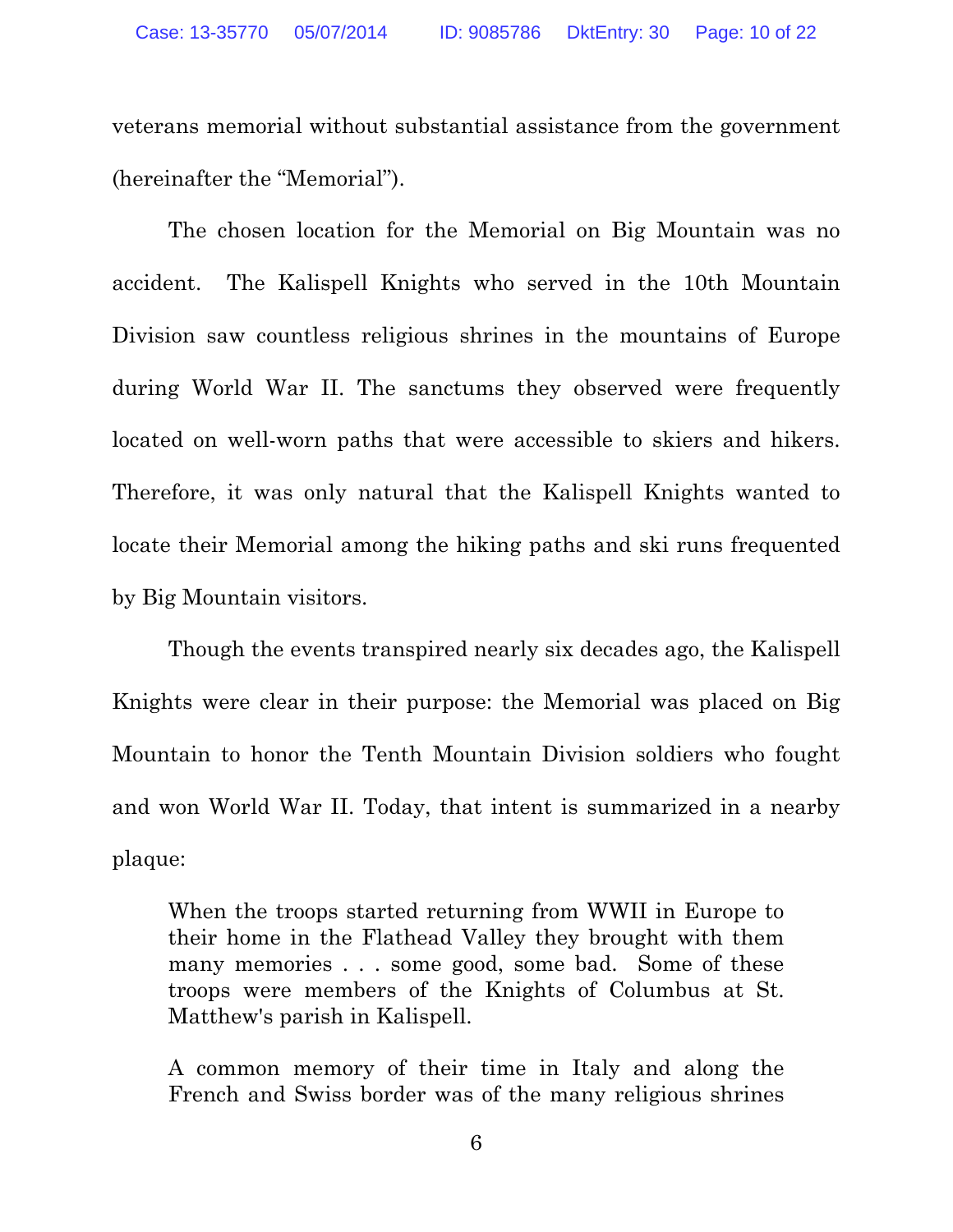veterans memorial without substantial assistance from the government (hereinafter the "Memorial").

The chosen location for the Memorial on Big Mountain was no accident. The Kalispell Knights who served in the 10th Mountain Division saw countless religious shrines in the mountains of Europe during World War II. The sanctums they observed were frequently located on well-worn paths that were accessible to skiers and hikers. Therefore, it was only natural that the Kalispell Knights wanted to locate their Memorial among the hiking paths and ski runs frequented by Big Mountain visitors.

Though the events transpired nearly six decades ago, the Kalispell Knights were clear in their purpose: the Memorial was placed on Big Mountain to honor the Tenth Mountain Division soldiers who fought and won World War II. Today, that intent is summarized in a nearby plaque:

When the troops started returning from WWII in Europe to their home in the Flathead Valley they brought with them many memories . . . some good, some bad. Some of these troops were members of the Knights of Columbus at St. Matthew's parish in Kalispell.

A common memory of their time in Italy and along the French and Swiss border was of the many religious shrines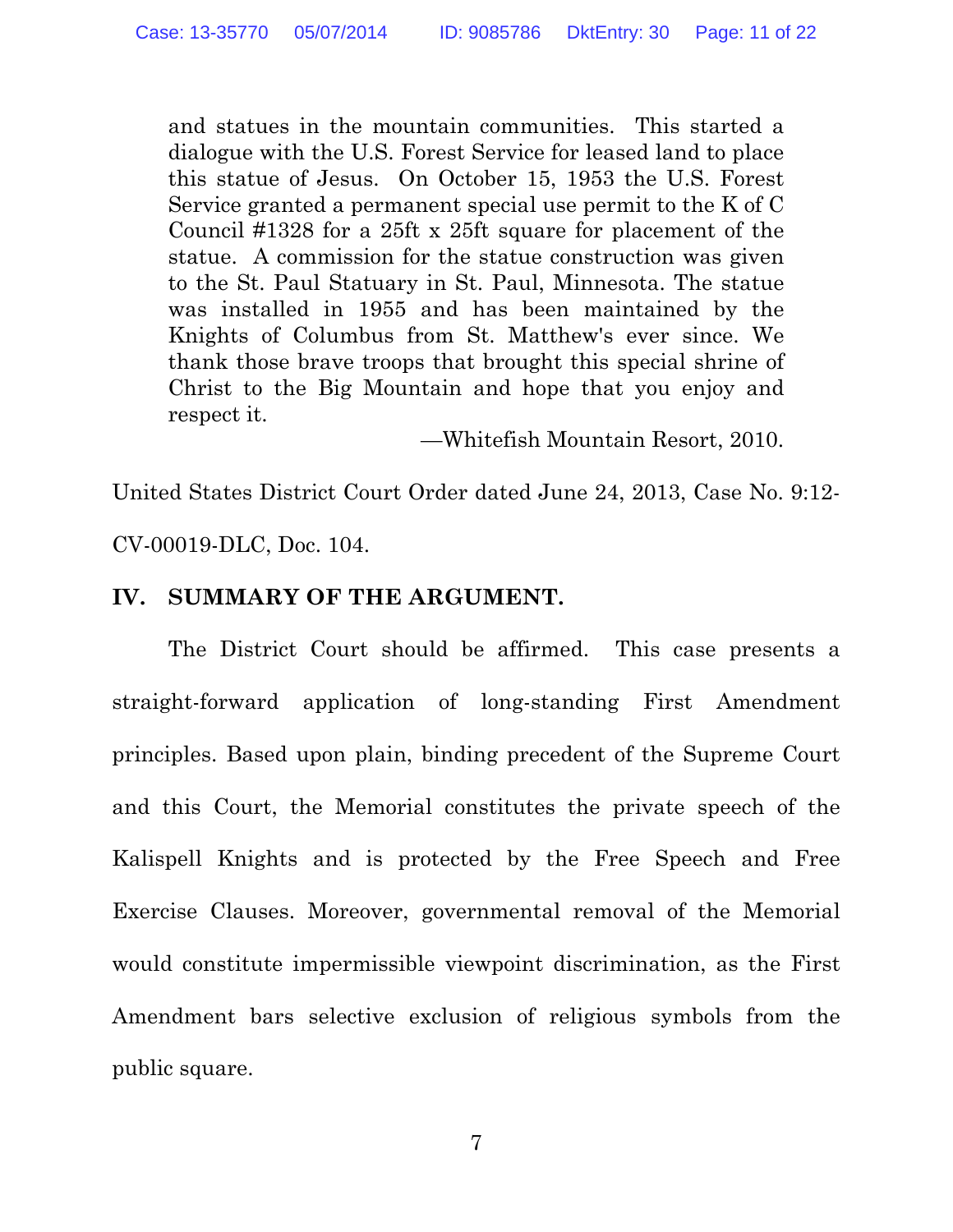and statues in the mountain communities. This started a dialogue with the U.S. Forest Service for leased land to place this statue of Jesus. On October 15, 1953 the U.S. Forest Service granted a permanent special use permit to the K of C Council #1328 for a 25ft x 25ft square for placement of the statue. A commission for the statue construction was given to the St. Paul Statuary in St. Paul, Minnesota. The statue was installed in 1955 and has been maintained by the Knights of Columbus from St. Matthew's ever since. We thank those brave troops that brought this special shrine of Christ to the Big Mountain and hope that you enjoy and respect it.

—Whitefish Mountain Resort, 2010.

United States District Court Order dated June 24, 2013, Case No. 9:12-

CV-00019-DLC, Doc. 104.

## **IV. SUMMARY OF THE ARGUMENT.**

The District Court should be affirmed. This case presents a straight-forward application of long-standing First Amendment principles. Based upon plain, binding precedent of the Supreme Court and this Court, the Memorial constitutes the private speech of the Kalispell Knights and is protected by the Free Speech and Free Exercise Clauses. Moreover, governmental removal of the Memorial would constitute impermissible viewpoint discrimination, as the First Amendment bars selective exclusion of religious symbols from the public square.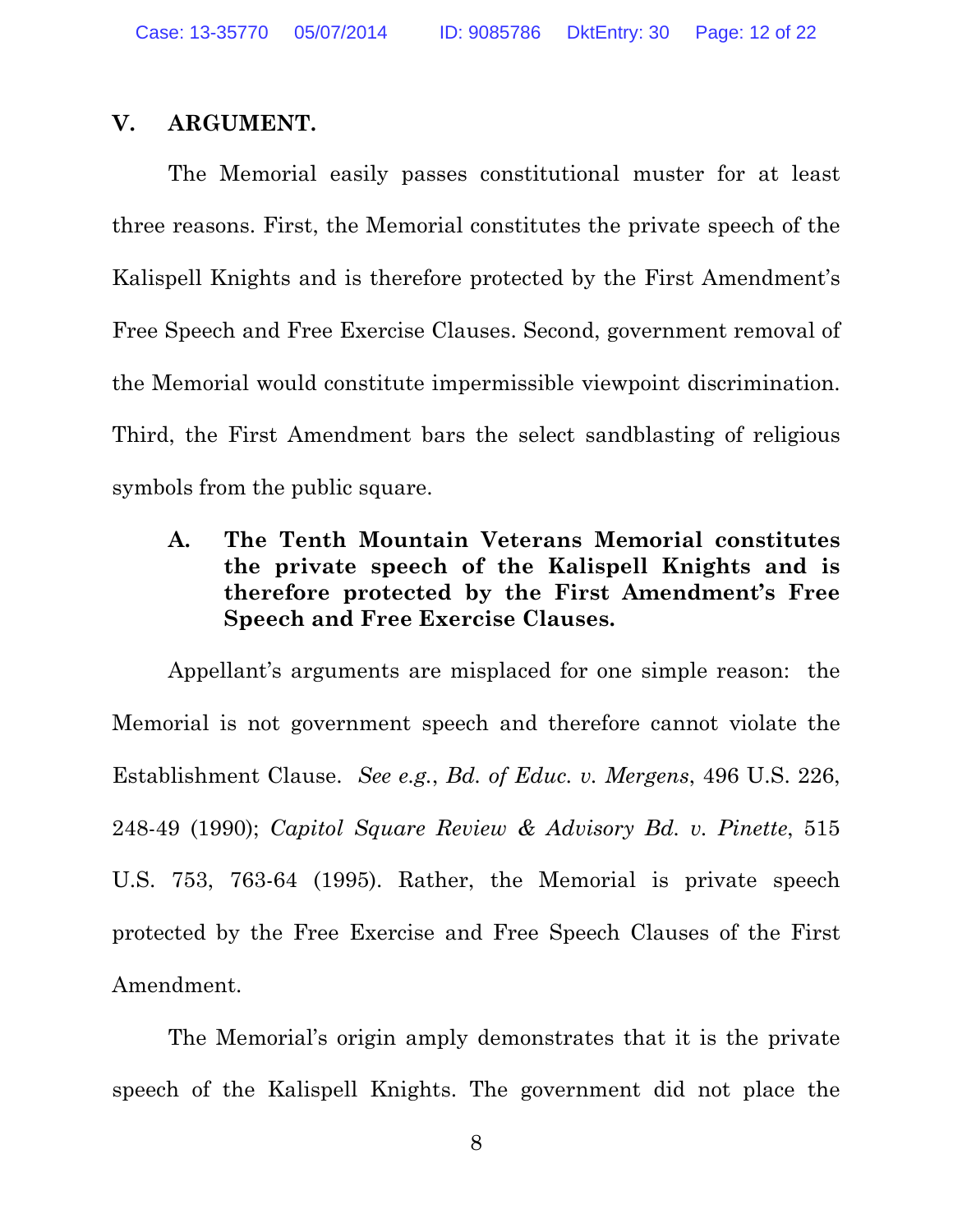### **V. ARGUMENT.**

The Memorial easily passes constitutional muster for at least three reasons. First, the Memorial constitutes the private speech of the Kalispell Knights and is therefore protected by the First Amendment's Free Speech and Free Exercise Clauses. Second, government removal of the Memorial would constitute impermissible viewpoint discrimination. Third, the First Amendment bars the select sandblasting of religious symbols from the public square.

**A. The Tenth Mountain Veterans Memorial constitutes the private speech of the Kalispell Knights and is therefore protected by the First Amendment's Free Speech and Free Exercise Clauses.** 

Appellant's arguments are misplaced for one simple reason: the Memorial is not government speech and therefore cannot violate the Establishment Clause. *See e.g.*, *Bd. of Educ. v. Mergens*, 496 U.S. 226, 248-49 (1990); *Capitol Square Review & Advisory Bd. v. Pinette*, 515 U.S. 753, 763-64 (1995). Rather, the Memorial is private speech protected by the Free Exercise and Free Speech Clauses of the First Amendment.

The Memorial's origin amply demonstrates that it is the private speech of the Kalispell Knights. The government did not place the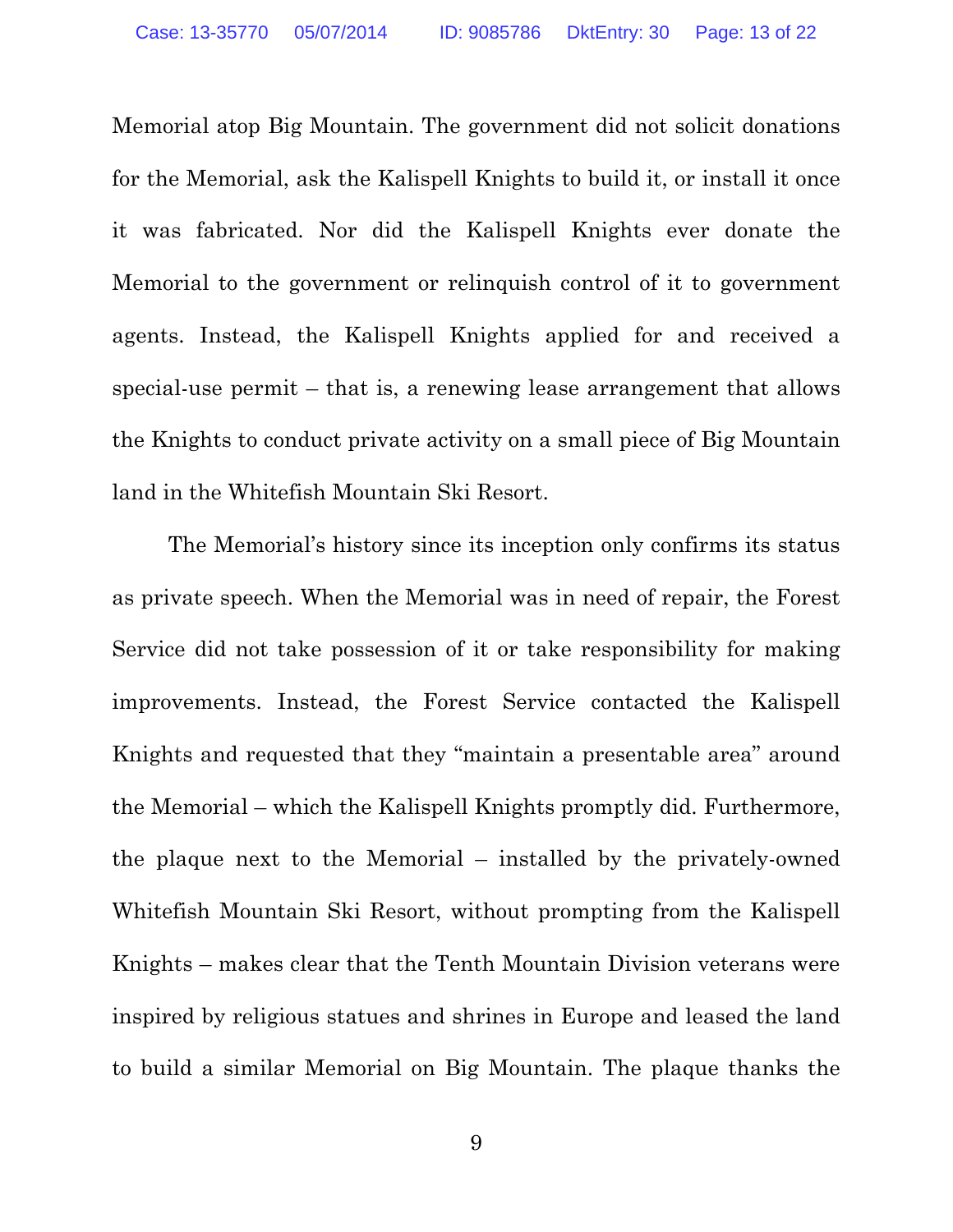Memorial atop Big Mountain. The government did not solicit donations for the Memorial, ask the Kalispell Knights to build it, or install it once it was fabricated. Nor did the Kalispell Knights ever donate the Memorial to the government or relinquish control of it to government agents. Instead, the Kalispell Knights applied for and received a special-use permit – that is, a renewing lease arrangement that allows the Knights to conduct private activity on a small piece of Big Mountain land in the Whitefish Mountain Ski Resort.

The Memorial's history since its inception only confirms its status as private speech. When the Memorial was in need of repair, the Forest Service did not take possession of it or take responsibility for making improvements. Instead, the Forest Service contacted the Kalispell Knights and requested that they "maintain a presentable area" around the Memorial – which the Kalispell Knights promptly did. Furthermore, the plaque next to the Memorial – installed by the privately-owned Whitefish Mountain Ski Resort, without prompting from the Kalispell Knights – makes clear that the Tenth Mountain Division veterans were inspired by religious statues and shrines in Europe and leased the land to build a similar Memorial on Big Mountain. The plaque thanks the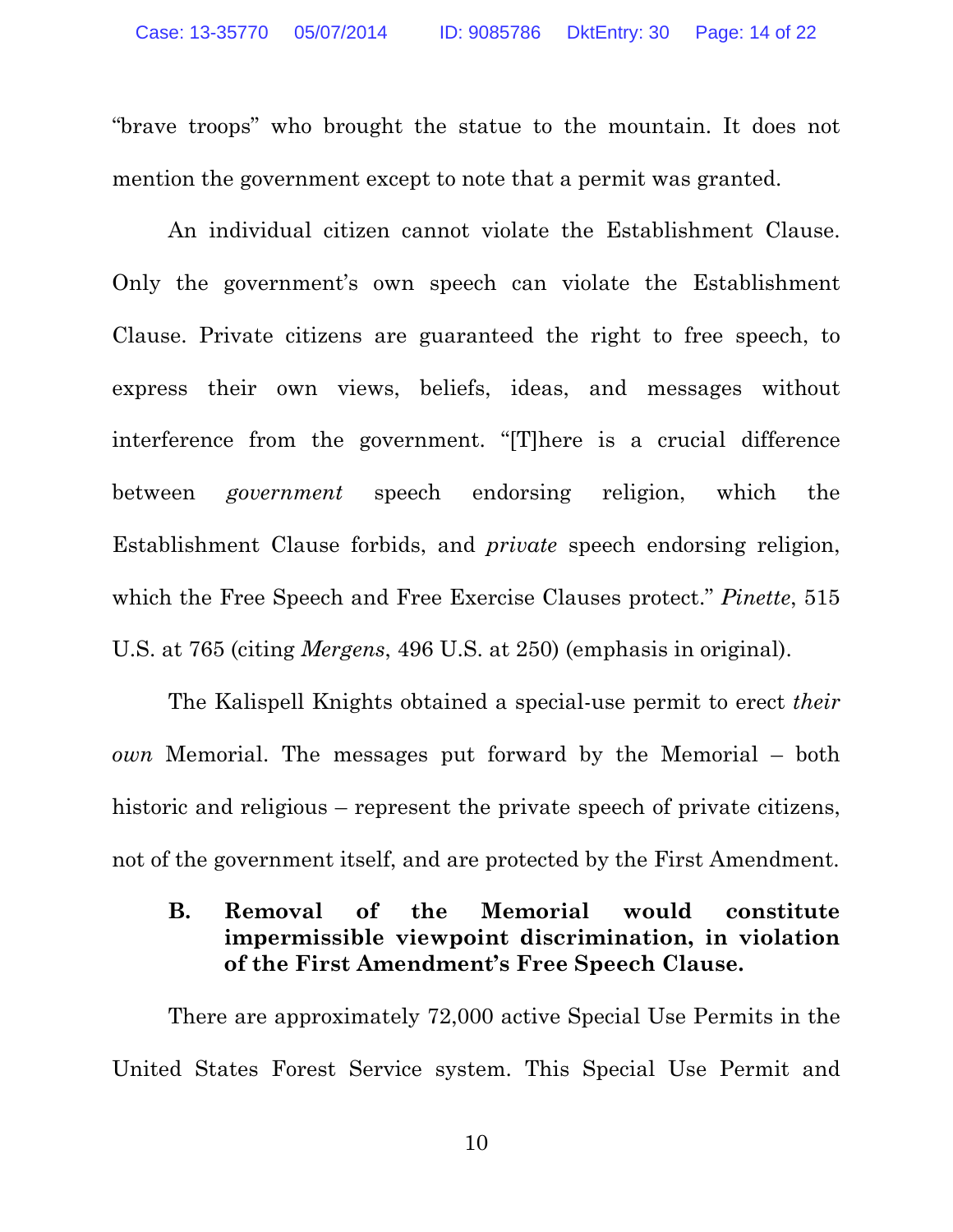"brave troops" who brought the statue to the mountain. It does not mention the government except to note that a permit was granted.

An individual citizen cannot violate the Establishment Clause. Only the government's own speech can violate the Establishment Clause. Private citizens are guaranteed the right to free speech, to express their own views, beliefs, ideas, and messages without interference from the government. "[T]here is a crucial difference between *government* speech endorsing religion, which the Establishment Clause forbids, and *private* speech endorsing religion, which the Free Speech and Free Exercise Clauses protect." *Pinette*, 515 U.S. at 765 (citing *Mergens*, 496 U.S. at 250) (emphasis in original).

The Kalispell Knights obtained a special-use permit to erect *their own* Memorial. The messages put forward by the Memorial – both historic and religious – represent the private speech of private citizens, not of the government itself, and are protected by the First Amendment.

## **B. Removal of the Memorial would constitute impermissible viewpoint discrimination, in violation of the First Amendment's Free Speech Clause.**

There are approximately 72,000 active Special Use Permits in the United States Forest Service system. This Special Use Permit and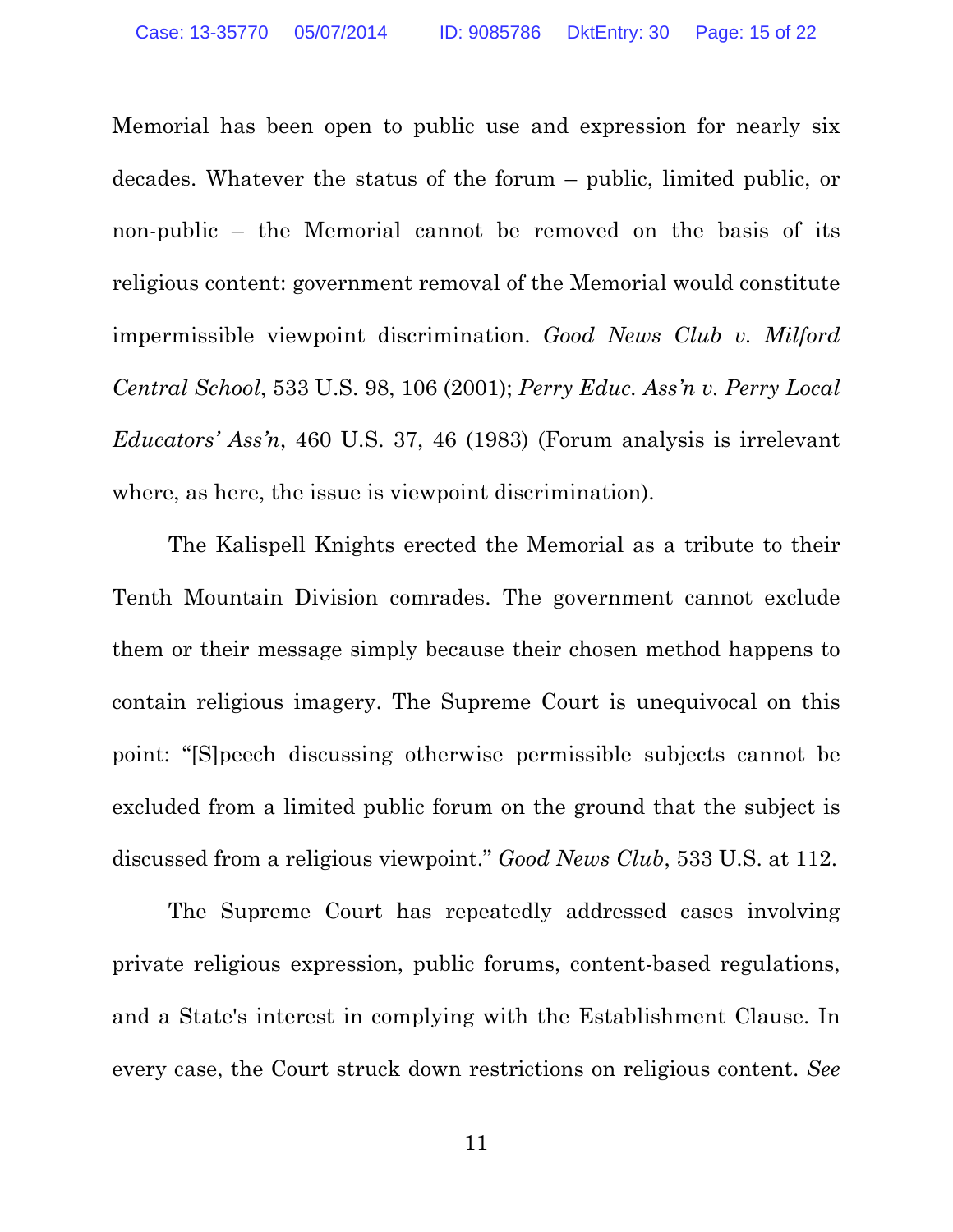Memorial has been open to public use and expression for nearly six decades. Whatever the status of the forum – public, limited public, or non-public – the Memorial cannot be removed on the basis of its religious content: government removal of the Memorial would constitute impermissible viewpoint discrimination. *Good News Club v. Milford Central School*, 533 U.S. 98, 106 (2001); *Perry Educ. Ass'n v. Perry Local Educators' Ass'n*, 460 U.S. 37, 46 (1983) (Forum analysis is irrelevant where, as here, the issue is viewpoint discrimination).

The Kalispell Knights erected the Memorial as a tribute to their Tenth Mountain Division comrades. The government cannot exclude them or their message simply because their chosen method happens to contain religious imagery. The Supreme Court is unequivocal on this point: "[S]peech discussing otherwise permissible subjects cannot be excluded from a limited public forum on the ground that the subject is discussed from a religious viewpoint." *Good News Club*, 533 U.S. at 112.

The Supreme Court has repeatedly addressed cases involving private religious expression, public forums, content-based regulations, and a State's interest in complying with the Establishment Clause. In every case, the Court struck down restrictions on religious content. *See*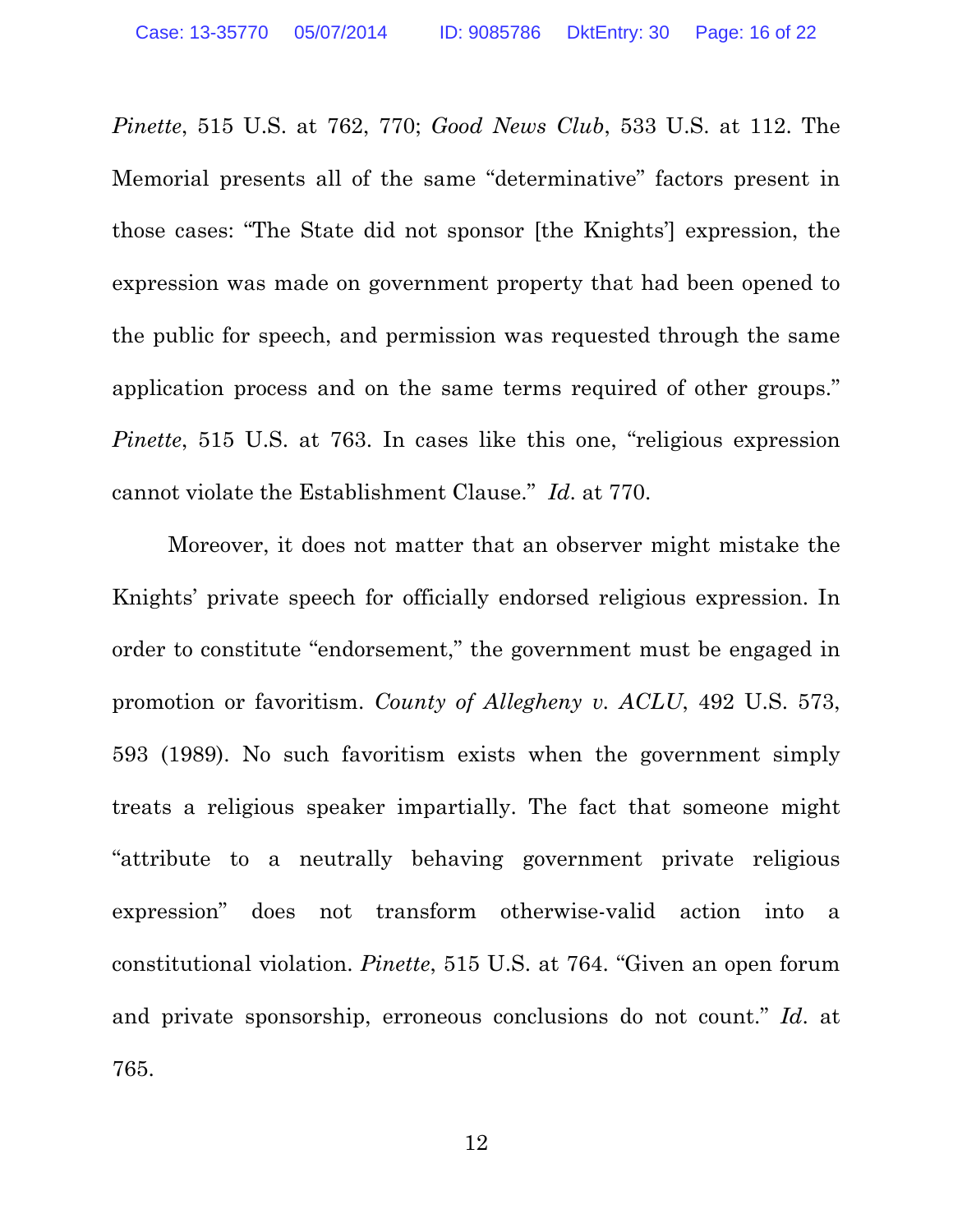*Pinette*, 515 U.S. at 762, 770; *Good News Club*, 533 U.S. at 112. The Memorial presents all of the same "determinative" factors present in those cases: "The State did not sponsor [the Knights'] expression, the expression was made on government property that had been opened to the public for speech, and permission was requested through the same application process and on the same terms required of other groups." *Pinette*, 515 U.S. at 763. In cases like this one, "religious expression" cannot violate the Establishment Clause." *Id*. at 770.

Moreover, it does not matter that an observer might mistake the Knights' private speech for officially endorsed religious expression. In order to constitute "endorsement," the government must be engaged in promotion or favoritism. *County of Allegheny v. ACLU*, 492 U.S. 573, 593 (1989). No such favoritism exists when the government simply treats a religious speaker impartially. The fact that someone might "attribute to a neutrally behaving government private religious expression" does not transform otherwise-valid action into a constitutional violation. *Pinette*, 515 U.S. at 764. "Given an open forum and private sponsorship, erroneous conclusions do not count." *Id*. at 765.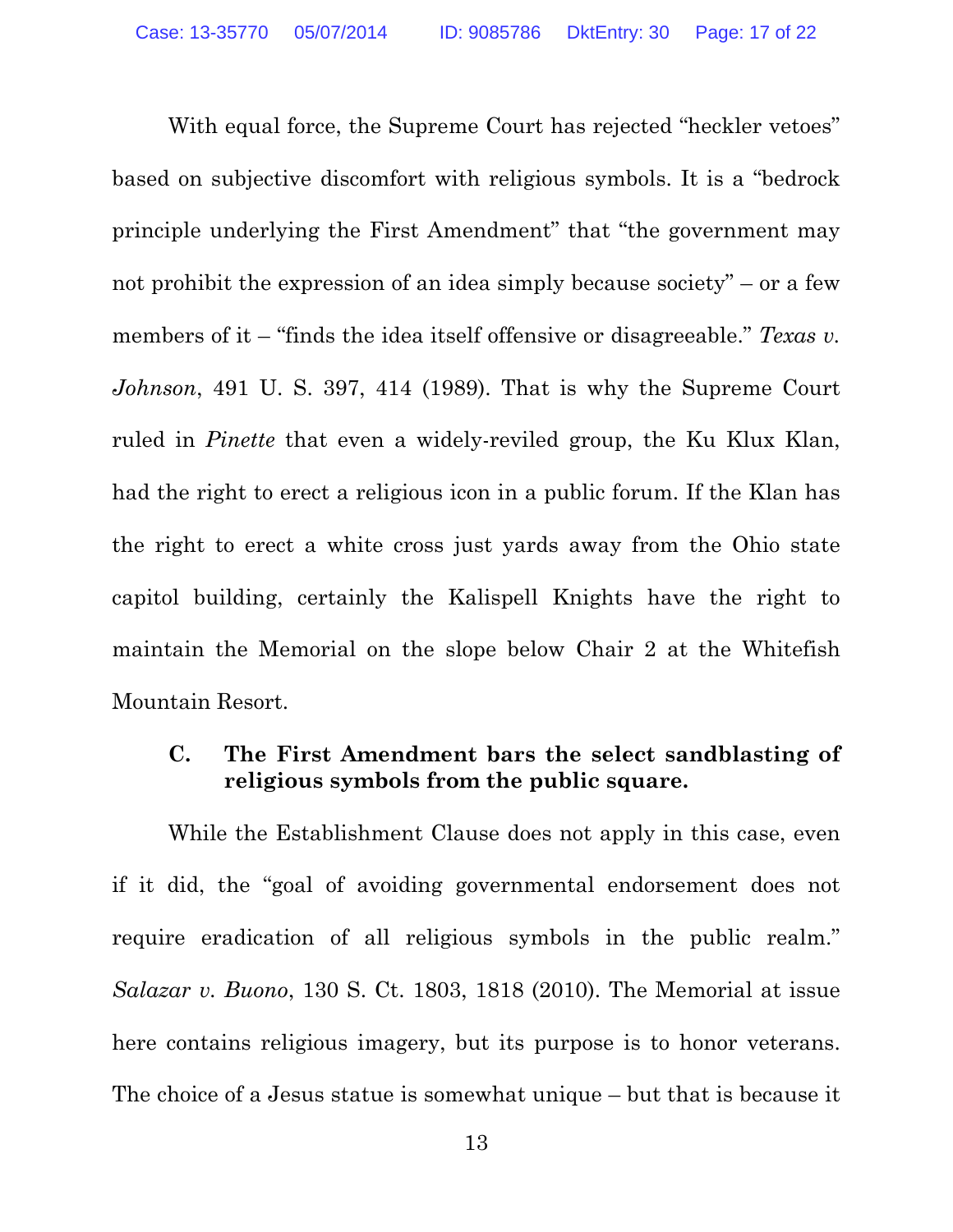With equal force, the Supreme Court has rejected "heckler vetoes" based on subjective discomfort with religious symbols. It is a "bedrock principle underlying the First Amendment" that "the government may not prohibit the expression of an idea simply because society" – or a few members of it – "finds the idea itself offensive or disagreeable." *Texas v. Johnson*, 491 U. S. 397, 414 (1989). That is why the Supreme Court ruled in *Pinette* that even a widely-reviled group, the Ku Klux Klan, had the right to erect a religious icon in a public forum. If the Klan has the right to erect a white cross just yards away from the Ohio state capitol building, certainly the Kalispell Knights have the right to maintain the Memorial on the slope below Chair 2 at the Whitefish Mountain Resort.

### **C. The First Amendment bars the select sandblasting of religious symbols from the public square.**

While the Establishment Clause does not apply in this case, even if it did, the "goal of avoiding governmental endorsement does not require eradication of all religious symbols in the public realm." *Salazar v. Buono*, 130 S. Ct. 1803, 1818 (2010). The Memorial at issue here contains religious imagery, but its purpose is to honor veterans. The choice of a Jesus statue is somewhat unique – but that is because it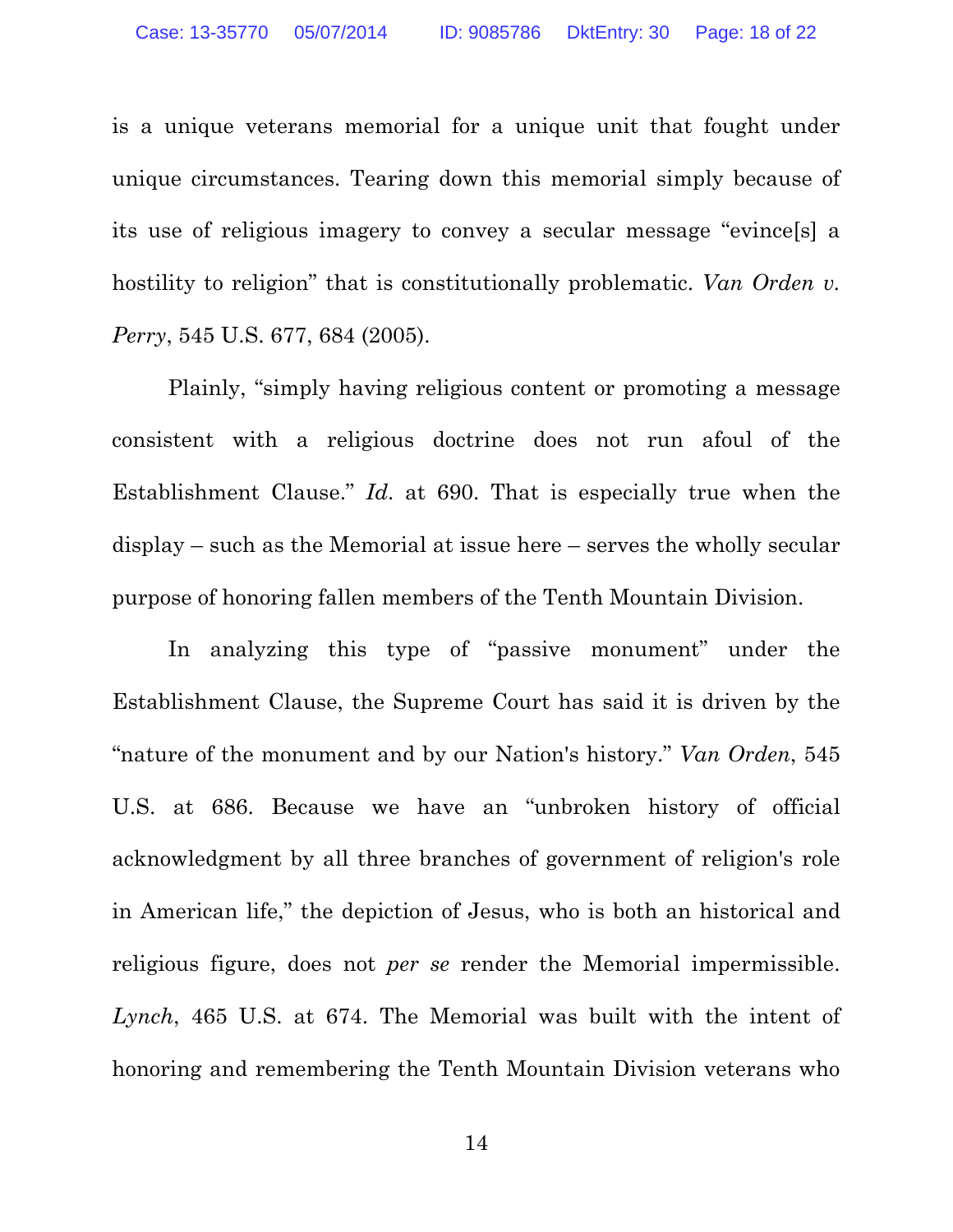is a unique veterans memorial for a unique unit that fought under unique circumstances. Tearing down this memorial simply because of its use of religious imagery to convey a secular message "evince[s] a hostility to religion" that is constitutionally problematic. *Van Orden v. Perry*, 545 U.S. 677, 684 (2005).

Plainly, "simply having religious content or promoting a message consistent with a religious doctrine does not run afoul of the Establishment Clause." *Id*. at 690. That is especially true when the display – such as the Memorial at issue here – serves the wholly secular purpose of honoring fallen members of the Tenth Mountain Division.

In analyzing this type of "passive monument" under the Establishment Clause, the Supreme Court has said it is driven by the "nature of the monument and by our Nation's history." *Van Orden*, 545 U.S. at 686. Because we have an "unbroken history of official acknowledgment by all three branches of government of religion's role in American life," the depiction of Jesus, who is both an historical and religious figure, does not *per se* render the Memorial impermissible. *Lynch*, 465 U.S. at 674. The Memorial was built with the intent of honoring and remembering the Tenth Mountain Division veterans who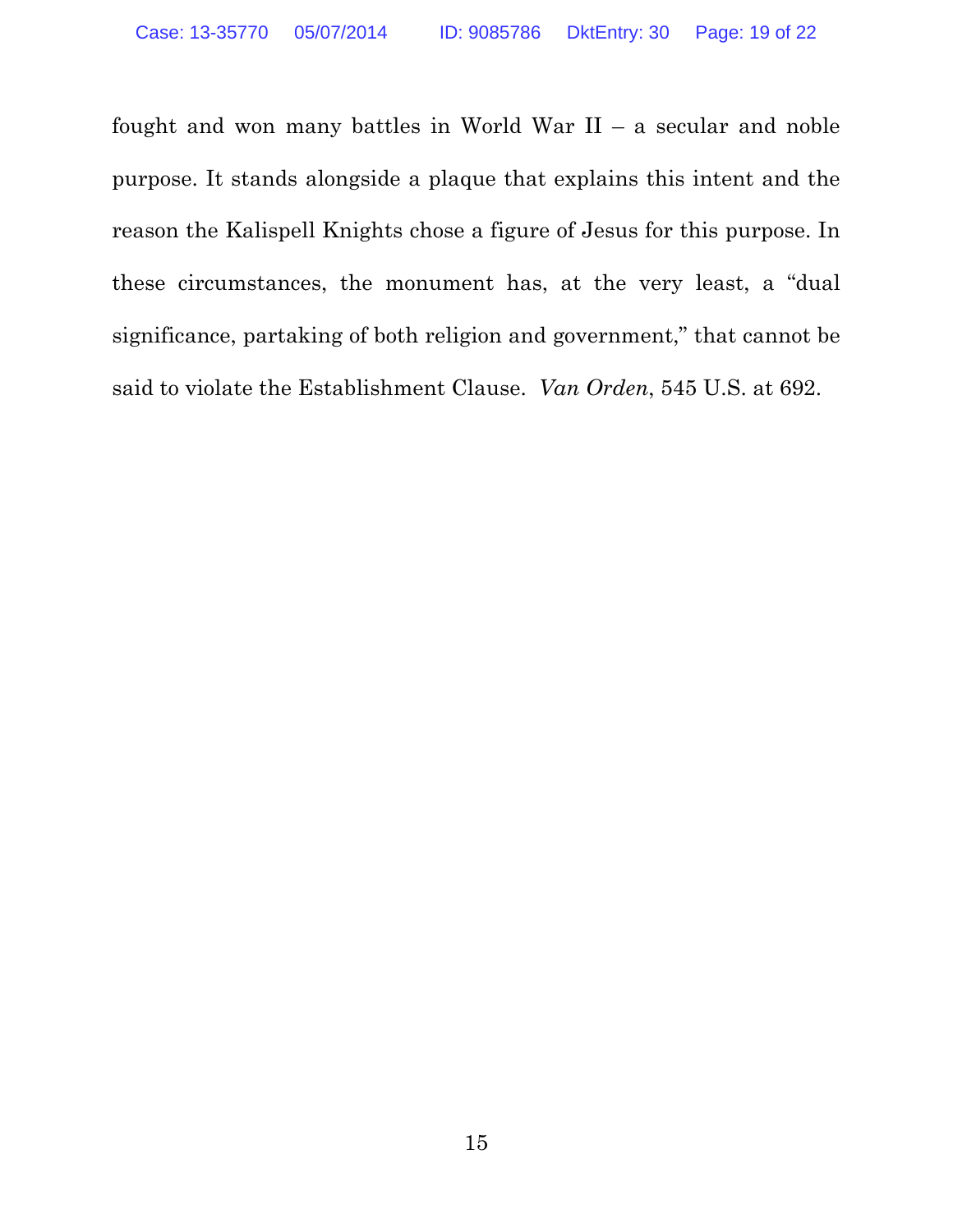fought and won many battles in World War  $II - a$  secular and noble purpose. It stands alongside a plaque that explains this intent and the reason the Kalispell Knights chose a figure of Jesus for this purpose. In these circumstances, the monument has, at the very least, a "dual significance, partaking of both religion and government," that cannot be said to violate the Establishment Clause. *Van Orden*, 545 U.S. at 692.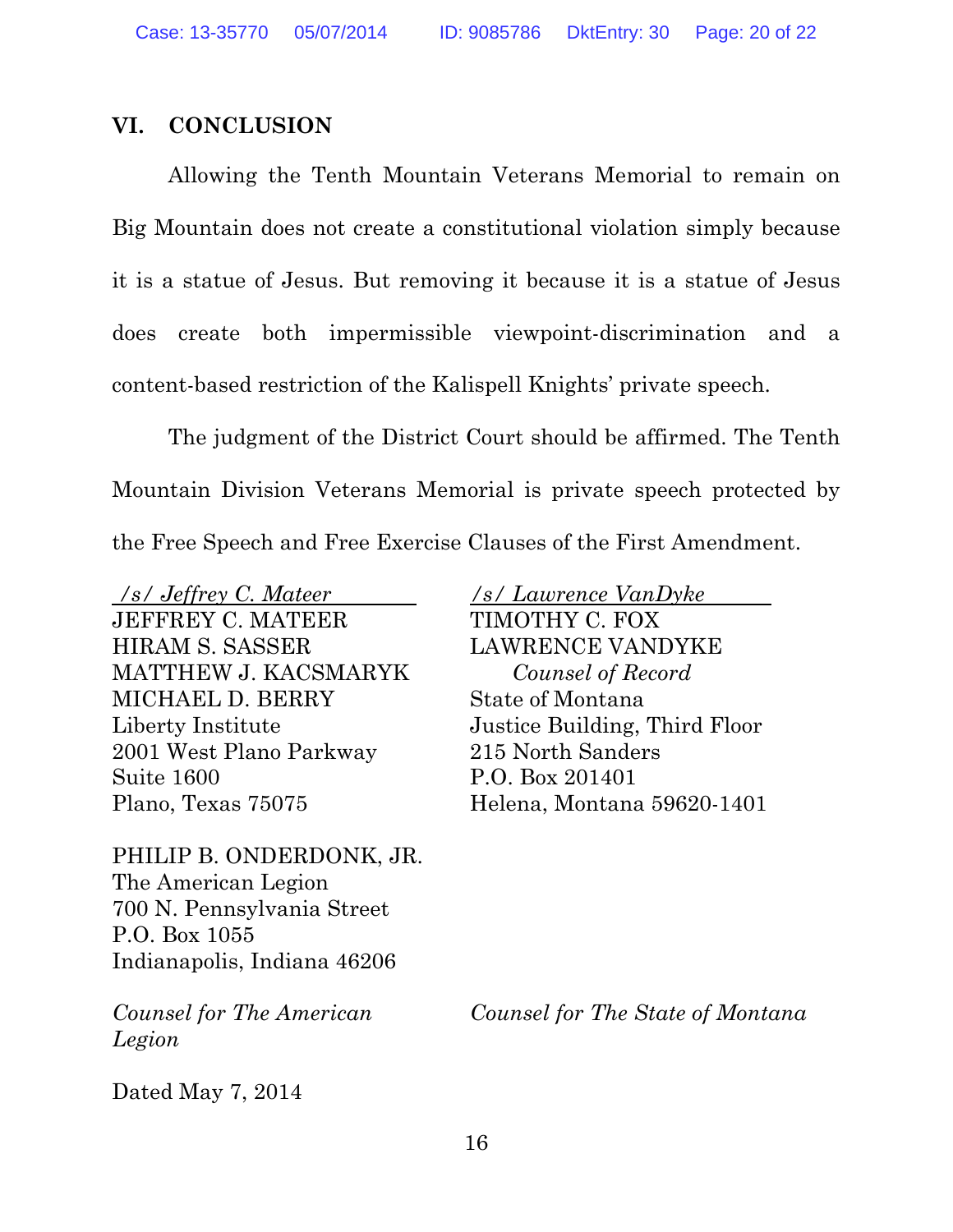### **VI. CONCLUSION**

Allowing the Tenth Mountain Veterans Memorial to remain on Big Mountain does not create a constitutional violation simply because it is a statue of Jesus. But removing it because it is a statue of Jesus does create both impermissible viewpoint-discrimination and a content-based restriction of the Kalispell Knights' private speech.

The judgment of the District Court should be affirmed. The Tenth Mountain Division Veterans Memorial is private speech protected by the Free Speech and Free Exercise Clauses of the First Amendment.

*/s/ Jeffrey C. Mateer*  JEFFREY C. MATEER HIRAM S. SASSER MATTHEW J. KACSMARYK MICHAEL D. BERRY Liberty Institute 2001 West Plano Parkway Suite 1600 Plano, Texas 75075

PHILIP B. ONDERDONK, JR. The American Legion 700 N. Pennsylvania Street P.O. Box 1055 Indianapolis, Indiana 46206

*Counsel for The American Legion* 

*/s/ Lawrence VanDyke*  TIMOTHY C. FOX LAWRENCE VANDYKE *Counsel of Record*  State of Montana Justice Building, Third Floor 215 North Sanders P.O. Box 201401 Helena, Montana 59620-1401

*Counsel for The State of Montana*

Dated May 7, 2014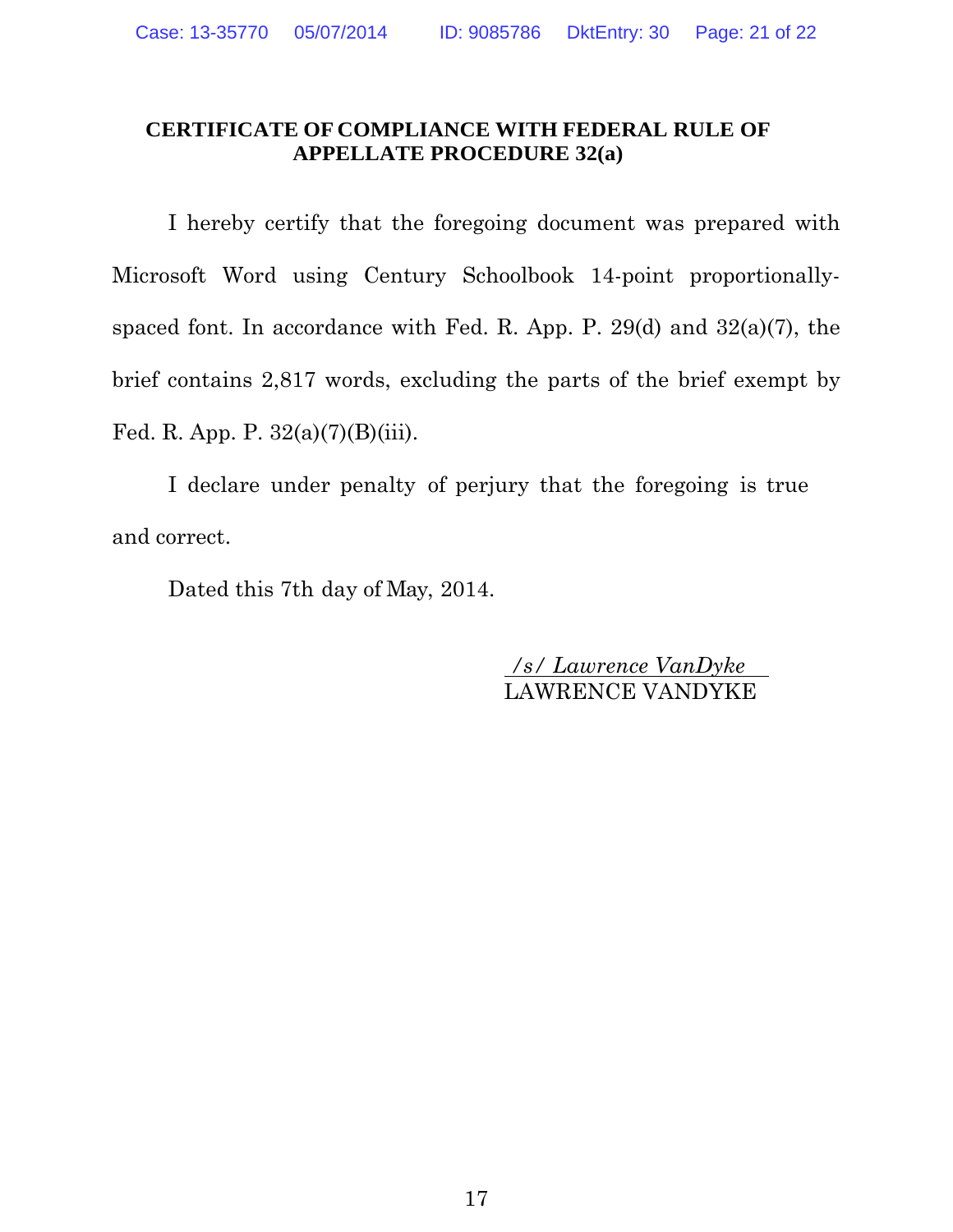### **CERTIFICATE OF COMPLIANCE WITH FEDERAL RULE OF APPELLATE PROCEDURE 32(a)**

I hereby certify that the foregoing document was prepared with Microsoft Word using Century Schoolbook 14-point proportionallyspaced font. In accordance with Fed. R. App. P.  $29(d)$  and  $32(a)(7)$ , the brief contains 2,817 words, excluding the parts of the brief exempt by Fed. R. App. P. 32(a)(7)(B)(iii).

I declare under penalty of perjury that the foregoing is true and correct.

Dated this 7th day of May, 2014.

 */s/ Lawrence VanDyke*  LAWRENCE VANDYKE